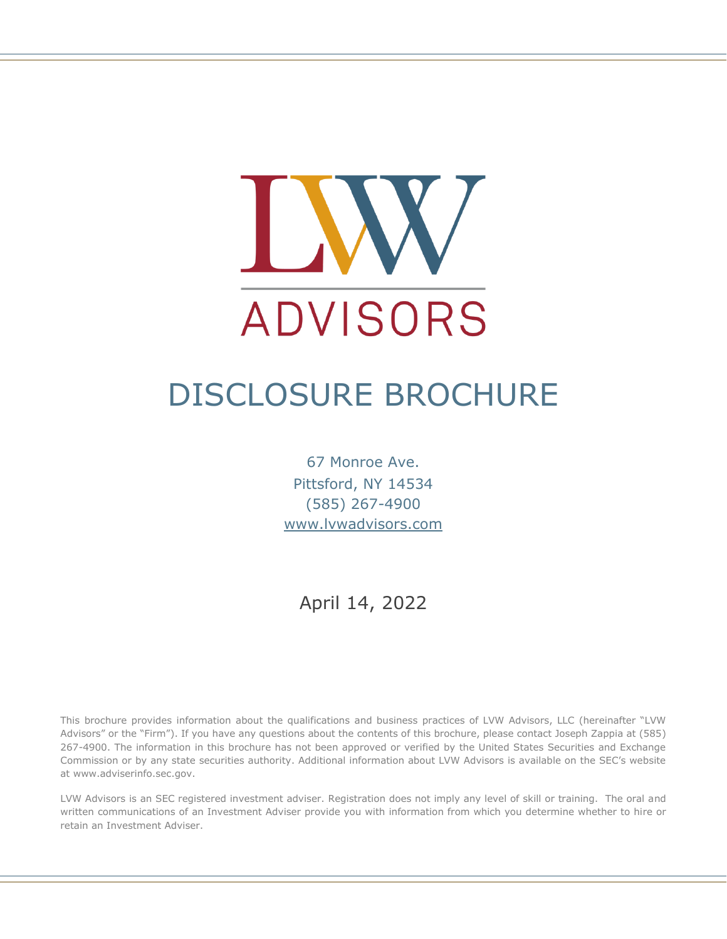

# DISCLOSURE BROCHURE

67 Monroe Ave. Pittsford, NY 14534 (585) 267-4900 [www.lvwadvisors.com](http://www.lvwadvisors.com/)

April 14, 2022

This brochure provides information about the qualifications and business practices of LVW Advisors, LLC (hereinafter "LVW Advisors" or the "Firm"). If you have any questions about the contents of this brochure, please contact Joseph Zappia at (585) 267-4900. The information in this brochure has not been approved or verified by the United States Securities and Exchange Commission or by any state securities authority. Additional information about LVW Advisors is available on the SEC's website at www.adviserinfo.sec.gov.

LVW Advisors is an SEC registered investment adviser. Registration does not imply any level of skill or training. The oral and written communications of an Investment Adviser provide you with information from which you determine whether to hire or retain an Investment Adviser.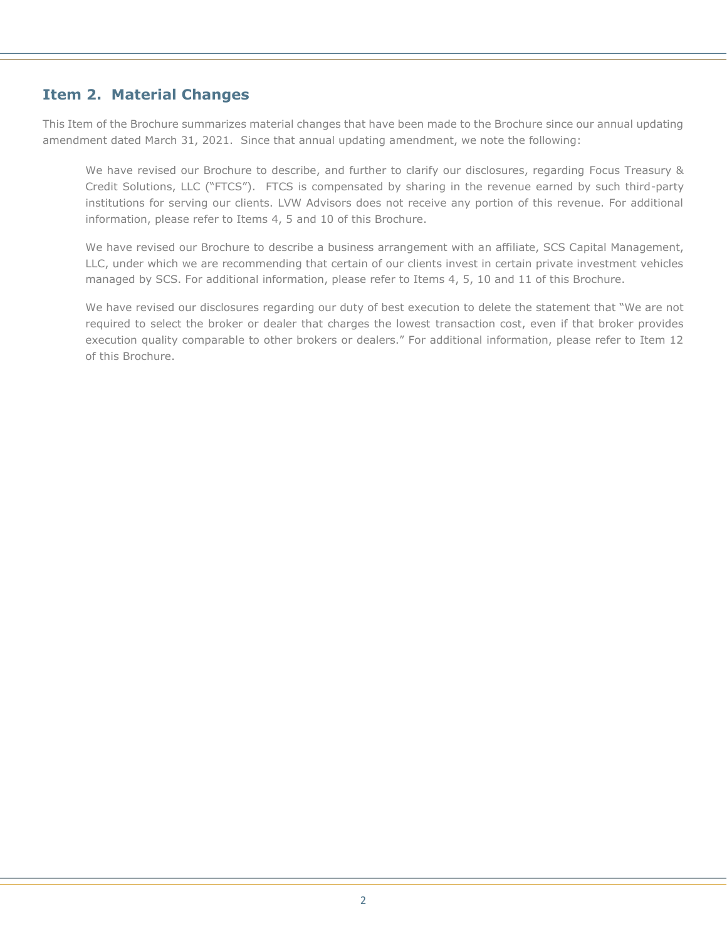# **Item 2. Material Changes**

This Item of the Brochure summarizes material changes that have been made to the Brochure since our annual updating amendment dated March 31, 2021. Since that annual updating amendment, we note the following:

We have revised our Brochure to describe, and further to clarify our disclosures, regarding Focus Treasury & Credit Solutions, LLC ("FTCS"). FTCS is compensated by sharing in the revenue earned by such third-party institutions for serving our clients. LVW Advisors does not receive any portion of this revenue. For additional information, please refer to Items 4, 5 and 10 of this Brochure.

We have revised our Brochure to describe a business arrangement with an affiliate, SCS Capital Management, LLC, under which we are recommending that certain of our clients invest in certain private investment vehicles managed by SCS. For additional information, please refer to Items 4, 5, 10 and 11 of this Brochure.

We have revised our disclosures regarding our duty of best execution to delete the statement that "We are not required to select the broker or dealer that charges the lowest transaction cost, even if that broker provides execution quality comparable to other brokers or dealers." For additional information, please refer to Item 12 of this Brochure.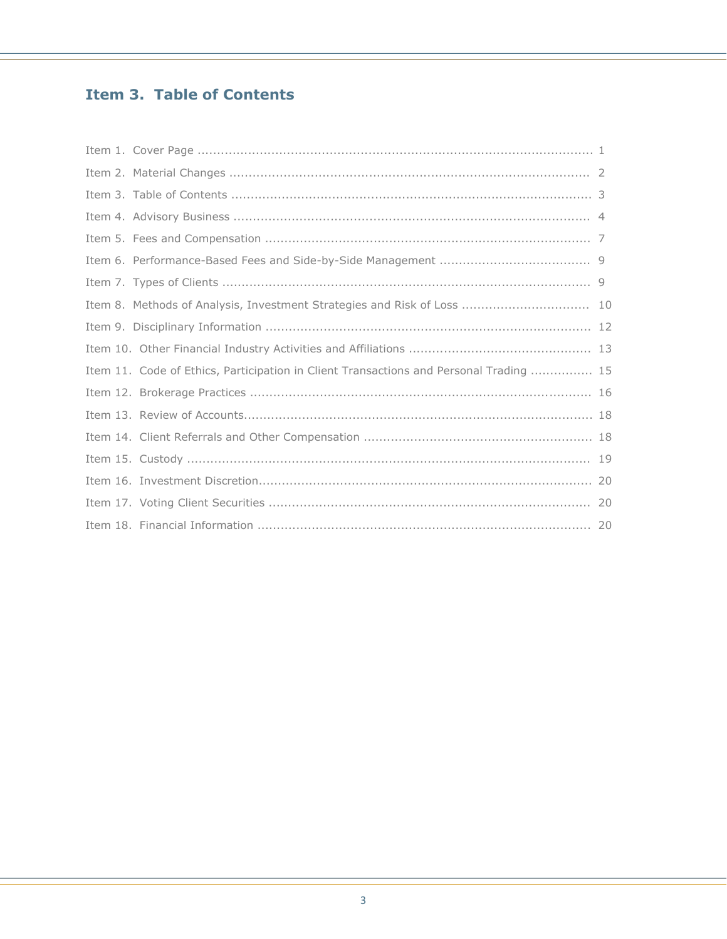# **Item 3. Table of Contents**

| Item 11. Code of Ethics, Participation in Client Transactions and Personal Trading  15 |  |
|----------------------------------------------------------------------------------------|--|
|                                                                                        |  |
|                                                                                        |  |
|                                                                                        |  |
|                                                                                        |  |
|                                                                                        |  |
|                                                                                        |  |
|                                                                                        |  |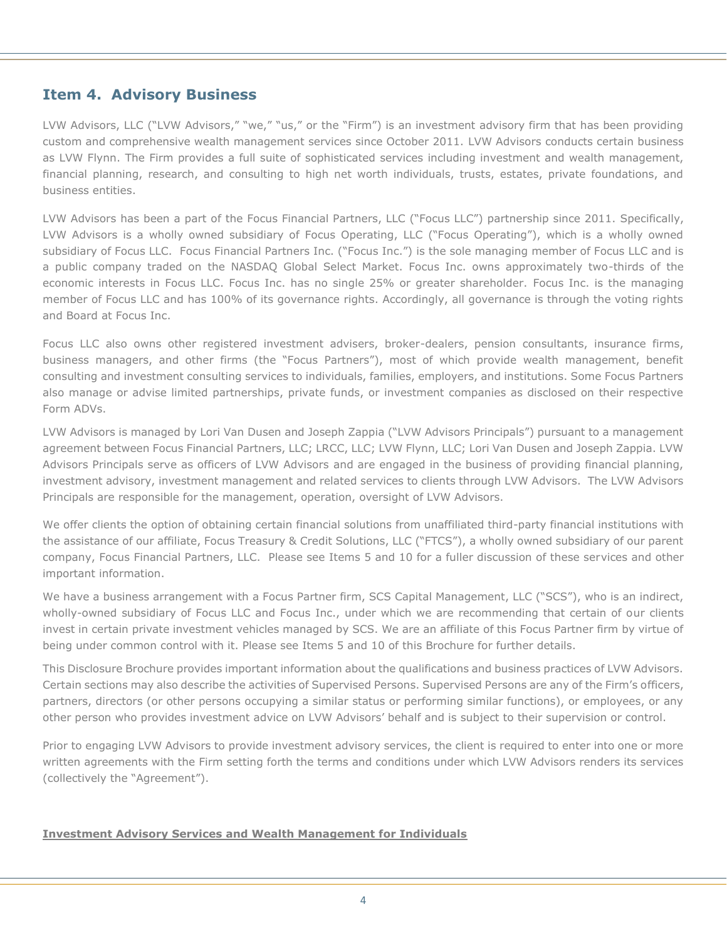## **Item 4. Advisory Business**

LVW Advisors, LLC ("LVW Advisors," "we," "us," or the "Firm") is an investment advisory firm that has been providing custom and comprehensive wealth management services since October 2011. LVW Advisors conducts certain business as LVW Flynn. The Firm provides a full suite of sophisticated services including investment and wealth management, financial planning, research, and consulting to high net worth individuals, trusts, estates, private foundations, and business entities.

LVW Advisors has been a part of the Focus Financial Partners, LLC ("Focus LLC") partnership since 2011. Specifically, LVW Advisors is a wholly owned subsidiary of Focus Operating, LLC ("Focus Operating"), which is a wholly owned subsidiary of Focus LLC. Focus Financial Partners Inc. ("Focus Inc.") is the sole managing member of Focus LLC and is a public company traded on the NASDAQ Global Select Market. Focus Inc. owns approximately two-thirds of the economic interests in Focus LLC. Focus Inc. has no single 25% or greater shareholder. Focus Inc. is the managing member of Focus LLC and has 100% of its governance rights. Accordingly, all governance is through the voting rights and Board at Focus Inc.

Focus LLC also owns other registered investment advisers, broker-dealers, pension consultants, insurance firms, business managers, and other firms (the "Focus Partners"), most of which provide wealth management, benefit consulting and investment consulting services to individuals, families, employers, and institutions. Some Focus Partners also manage or advise limited partnerships, private funds, or investment companies as disclosed on their respective Form ADVs.

LVW Advisors is managed by Lori Van Dusen and Joseph Zappia ("LVW Advisors Principals") pursuant to a management agreement between Focus Financial Partners, LLC; LRCC, LLC; LVW Flynn, LLC; Lori Van Dusen and Joseph Zappia. LVW Advisors Principals serve as officers of LVW Advisors and are engaged in the business of providing financial planning, investment advisory, investment management and related services to clients through LVW Advisors. The LVW Advisors Principals are responsible for the management, operation, oversight of LVW Advisors.

We offer clients the option of obtaining certain financial solutions from unaffiliated third-party financial institutions with the assistance of our affiliate, Focus Treasury & Credit Solutions, LLC ("FTCS"), a wholly owned subsidiary of our parent company, Focus Financial Partners, LLC. Please see Items 5 and 10 for a fuller discussion of these services and other important information.

We have a business arrangement with a Focus Partner firm, SCS Capital Management, LLC ("SCS"), who is an indirect, wholly-owned subsidiary of Focus LLC and Focus Inc., under which we are recommending that certain of our clients invest in certain private investment vehicles managed by SCS. We are an affiliate of this Focus Partner firm by virtue of being under common control with it. Please see Items 5 and 10 of this Brochure for further details.

This Disclosure Brochure provides important information about the qualifications and business practices of LVW Advisors. Certain sections may also describe the activities of Supervised Persons. Supervised Persons are any of the Firm's officers, partners, directors (or other persons occupying a similar status or performing similar functions), or employees, or any other person who provides investment advice on LVW Advisors' behalf and is subject to their supervision or control.

Prior to engaging LVW Advisors to provide investment advisory services, the client is required to enter into one or more written agreements with the Firm setting forth the terms and conditions under which LVW Advisors renders its services (collectively the "Agreement").

## **Investment Advisory Services and Wealth Management for Individuals**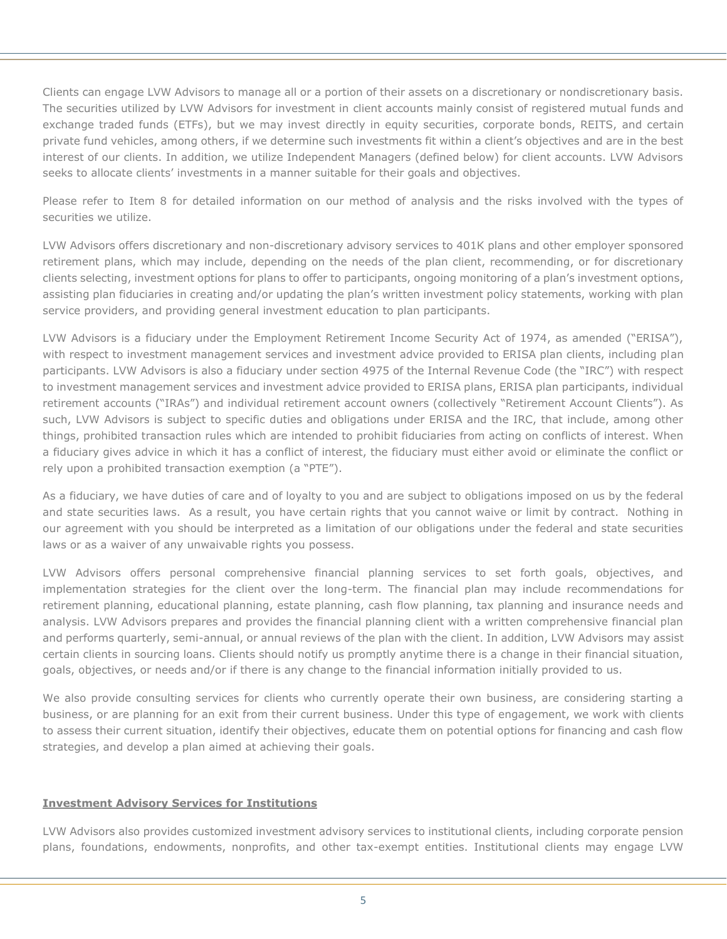Clients can engage LVW Advisors to manage all or a portion of their assets on a discretionary or nondiscretionary basis. The securities utilized by LVW Advisors for investment in client accounts mainly consist of registered mutual funds and exchange traded funds (ETFs), but we may invest directly in equity securities, corporate bonds, REITS, and certain private fund vehicles, among others, if we determine such investments fit within a client's objectives and are in the best interest of our clients. In addition, we utilize Independent Managers (defined below) for client accounts. LVW Advisors seeks to allocate clients' investments in a manner suitable for their goals and objectives.

Please refer to Item 8 for detailed information on our method of analysis and the risks involved with the types of securities we utilize.

LVW Advisors offers discretionary and non-discretionary advisory services to 401K plans and other employer sponsored retirement plans, which may include, depending on the needs of the plan client, recommending, or for discretionary clients selecting, investment options for plans to offer to participants, ongoing monitoring of a plan's investment options, assisting plan fiduciaries in creating and/or updating the plan's written investment policy statements, working with plan service providers, and providing general investment education to plan participants.

LVW Advisors is a fiduciary under the Employment Retirement Income Security Act of 1974, as amended ("ERISA"), with respect to investment management services and investment advice provided to ERISA plan clients, including plan participants. LVW Advisors is also a fiduciary under section 4975 of the Internal Revenue Code (the "IRC") with respect to investment management services and investment advice provided to ERISA plans, ERISA plan participants, individual retirement accounts ("IRAs") and individual retirement account owners (collectively "Retirement Account Clients"). As such, LVW Advisors is subject to specific duties and obligations under ERISA and the IRC, that include, among other things, prohibited transaction rules which are intended to prohibit fiduciaries from acting on conflicts of interest. When a fiduciary gives advice in which it has a conflict of interest, the fiduciary must either avoid or eliminate the conflict or rely upon a prohibited transaction exemption (a "PTE").

As a fiduciary, we have duties of care and of loyalty to you and are subject to obligations imposed on us by the federal and state securities laws. As a result, you have certain rights that you cannot waive or limit by contract. Nothing in our agreement with you should be interpreted as a limitation of our obligations under the federal and state securities laws or as a waiver of any unwaivable rights you possess.

LVW Advisors offers personal comprehensive financial planning services to set forth goals, objectives, and implementation strategies for the client over the long-term. The financial plan may include recommendations for retirement planning, educational planning, estate planning, cash flow planning, tax planning and insurance needs and analysis. LVW Advisors prepares and provides the financial planning client with a written comprehensive financial plan and performs quarterly, semi-annual, or annual reviews of the plan with the client. In addition, LVW Advisors may assist certain clients in sourcing loans. Clients should notify us promptly anytime there is a change in their financial situation, goals, objectives, or needs and/or if there is any change to the financial information initially provided to us.

We also provide consulting services for clients who currently operate their own business, are considering starting a business, or are planning for an exit from their current business. Under this type of engagement, we work with clients to assess their current situation, identify their objectives, educate them on potential options for financing and cash flow strategies, and develop a plan aimed at achieving their goals.

## **Investment Advisory Services for Institutions**

LVW Advisors also provides customized investment advisory services to institutional clients, including corporate pension plans, foundations, endowments, nonprofits, and other tax-exempt entities. Institutional clients may engage LVW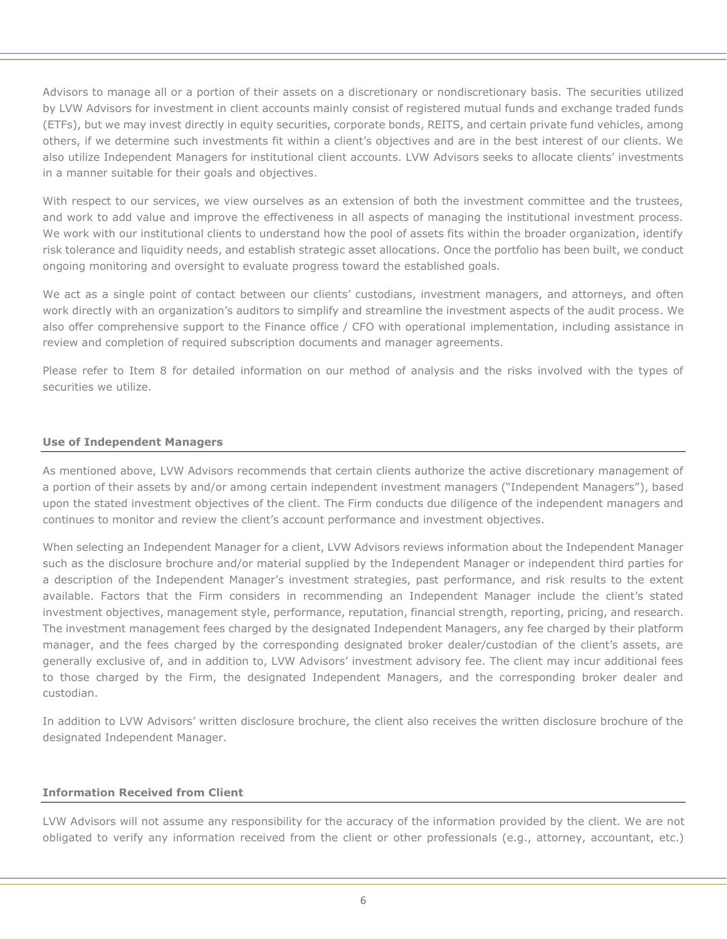Advisors to manage all or a portion of their assets on a discretionary or nondiscretionary basis. The securities utilized by LVW Advisors for investment in client accounts mainly consist of registered mutual funds and exchange traded funds (ETFs), but we may invest directly in equity securities, corporate bonds, REITS, and certain private fund vehicles, among others, if we determine such investments fit within a client's objectives and are in the best interest of our clients. We also utilize Independent Managers for institutional client accounts. LVW Advisors seeks to allocate clients' investments in a manner suitable for their goals and objectives.

With respect to our services, we view ourselves as an extension of both the investment committee and the trustees, and work to add value and improve the effectiveness in all aspects of managing the institutional investment process. We work with our institutional clients to understand how the pool of assets fits within the broader organization, identify risk tolerance and liquidity needs, and establish strategic asset allocations. Once the portfolio has been built, we conduct ongoing monitoring and oversight to evaluate progress toward the established goals.

We act as a single point of contact between our clients' custodians, investment managers, and attorneys, and often work directly with an organization's auditors to simplify and streamline the investment aspects of the audit process. We also offer comprehensive support to the Finance office / CFO with operational implementation, including assistance in review and completion of required subscription documents and manager agreements.

Please refer to Item 8 for detailed information on our method of analysis and the risks involved with the types of securities we utilize.

## **Use of Independent Managers**

As mentioned above, LVW Advisors recommends that certain clients authorize the active discretionary management of a portion of their assets by and/or among certain independent investment managers ("Independent Managers"), based upon the stated investment objectives of the client. The Firm conducts due diligence of the independent managers and continues to monitor and review the client's account performance and investment objectives.

When selecting an Independent Manager for a client, LVW Advisors reviews information about the Independent Manager such as the disclosure brochure and/or material supplied by the Independent Manager or independent third parties for a description of the Independent Manager's investment strategies, past performance, and risk results to the extent available. Factors that the Firm considers in recommending an Independent Manager include the client's stated investment objectives, management style, performance, reputation, financial strength, reporting, pricing, and research. The investment management fees charged by the designated Independent Managers, any fee charged by their platform manager, and the fees charged by the corresponding designated broker dealer/custodian of the client's assets, are generally exclusive of, and in addition to, LVW Advisors' investment advisory fee. The client may incur additional fees to those charged by the Firm, the designated Independent Managers, and the corresponding broker dealer and custodian.

In addition to LVW Advisors' written disclosure brochure, the client also receives the written disclosure brochure of the designated Independent Manager.

## **Information Received from Client**

LVW Advisors will not assume any responsibility for the accuracy of the information provided by the client. We are not obligated to verify any information received from the client or other professionals (e.g., attorney, accountant, etc.)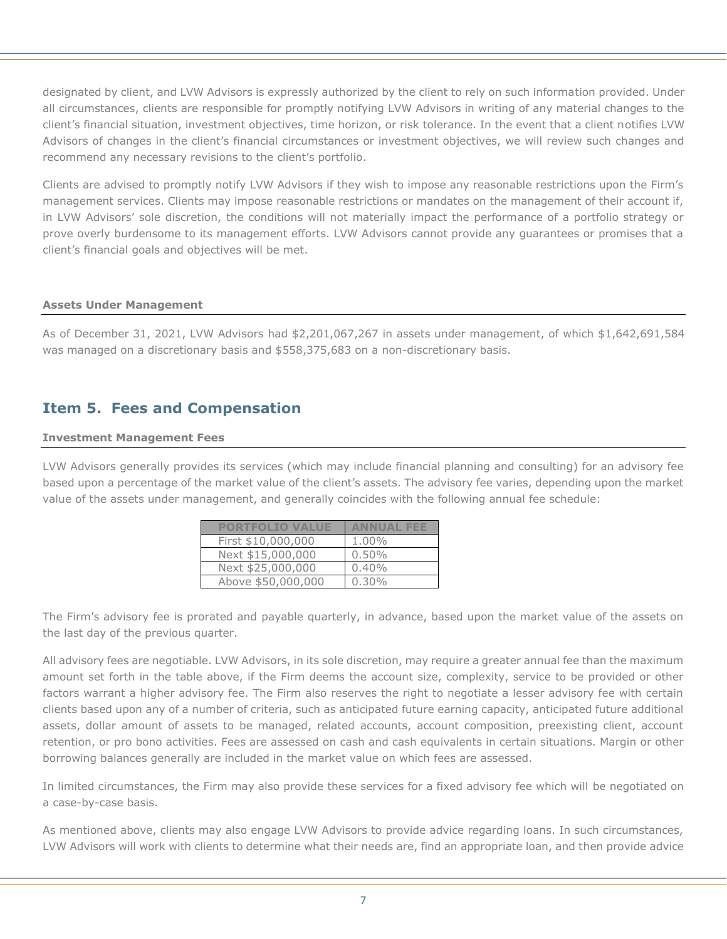designated by client, and LVW Advisors is expressly authorized by the client to rely on such information provided. Under all circumstances, clients are responsible for promptly notifying LVW Advisors in writing of any material changes to the client's financial situation, investment objectives, time horizon, or risk tolerance. In the event that a client notifies LVW Advisors of changes in the client's financial circumstances or investment objectives, we will review such changes and recommend any necessary revisions to the client's portfolio.

Clients are advised to promptly notify LVW Advisors if they wish to impose any reasonable restrictions upon the Firm's management services. Clients may impose reasonable restrictions or mandates on the management of their account if, in LVW Advisors' sole discretion, the conditions will not materially impact the performance of a portfolio strategy or prove overly burdensome to its management efforts. LVW Advisors cannot provide any guarantees or promises that a client's financial goals and objectives will be met.

#### **Assets Under Management**

As of December 31, 2021, LVW Advisors had \$2,201,067,267 in assets under management, of which \$1,642,691,584 was managed on a discretionary basis and \$558,375,683 on a non-discretionary basis.

# **Item 5. Fees and Compensation**

#### **Investment Management Fees**

LVW Advisors generally provides its services (which may include financial planning and consulting) for an advisory fee based upon a percentage of the market value of the client's assets. The advisory fee varies, depending upon the market value of the assets under management, and generally coincides with the following annual fee schedule:

| <b>PORTFOLIO VALUE</b> | ANNUAL   |
|------------------------|----------|
| First \$10,000,000     | 1.00%    |
| Next \$15,000,000      | $0.50\%$ |
| Next \$25,000,000      | 0.40%    |
| Above \$50,000,000     | $0.30\%$ |

The Firm's advisory fee is prorated and payable quarterly, in advance, based upon the market value of the assets on the last day of the previous quarter.

All advisory fees are negotiable. LVW Advisors, in its sole discretion, may require a greater annual fee than the maximum amount set forth in the table above, if the Firm deems the account size, complexity, service to be provided or other factors warrant a higher advisory fee. The Firm also reserves the right to negotiate a lesser advisory fee with certain clients based upon any of a number of criteria, such as anticipated future earning capacity, anticipated future additional assets, dollar amount of assets to be managed, related accounts, account composition, preexisting client, account retention, or pro bono activities. Fees are assessed on cash and cash equivalents in certain situations. Margin or other borrowing balances generally are included in the market value on which fees are assessed.

In limited circumstances, the Firm may also provide these services for a fixed advisory fee which will be negotiated on a case-by-case basis.

As mentioned above, clients may also engage LVW Advisors to provide advice regarding loans. In such circumstances, LVW Advisors will work with clients to determine what their needs are, find an appropriate loan, and then provide advice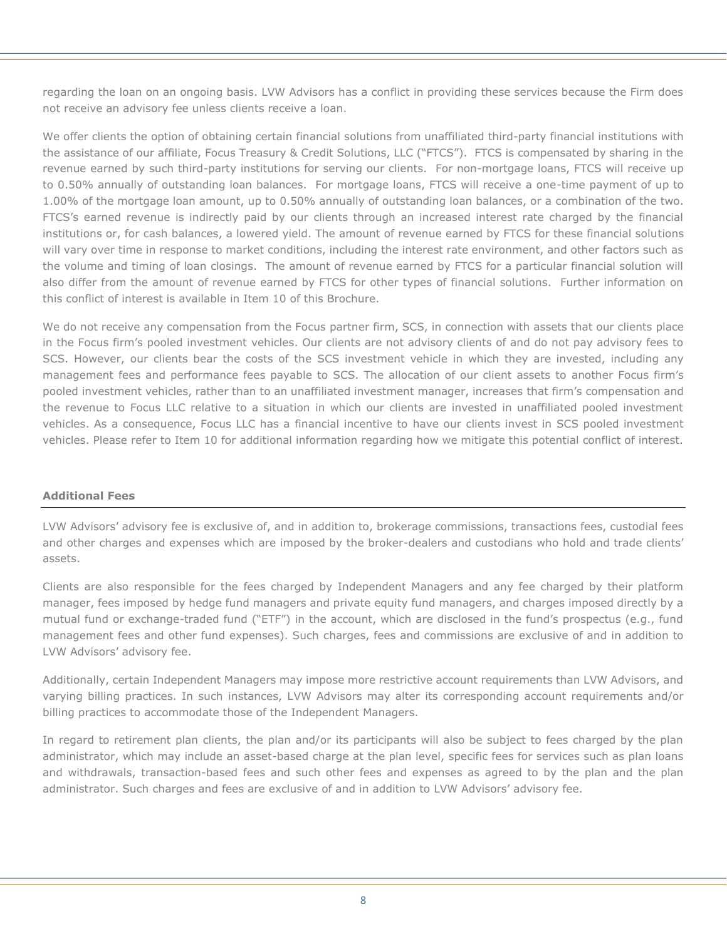regarding the loan on an ongoing basis. LVW Advisors has a conflict in providing these services because the Firm does not receive an advisory fee unless clients receive a loan.

We offer clients the option of obtaining certain financial solutions from unaffiliated third-party financial institutions with the assistance of our affiliate, Focus Treasury & Credit Solutions, LLC ("FTCS"). FTCS is compensated by sharing in the revenue earned by such third-party institutions for serving our clients. For non-mortgage loans, FTCS will receive up to 0.50% annually of outstanding loan balances. For mortgage loans, FTCS will receive a one-time payment of up to 1.00% of the mortgage loan amount, up to 0.50% annually of outstanding loan balances, or a combination of the two. FTCS's earned revenue is indirectly paid by our clients through an increased interest rate charged by the financial institutions or, for cash balances, a lowered yield. The amount of revenue earned by FTCS for these financial solutions will vary over time in response to market conditions, including the interest rate environment, and other factors such as the volume and timing of loan closings. The amount of revenue earned by FTCS for a particular financial solution will also differ from the amount of revenue earned by FTCS for other types of financial solutions. Further information on this conflict of interest is available in Item 10 of this Brochure.

We do not receive any compensation from the Focus partner firm, SCS, in connection with assets that our clients place in the Focus firm's pooled investment vehicles. Our clients are not advisory clients of and do not pay advisory fees to SCS. However, our clients bear the costs of the SCS investment vehicle in which they are invested, including any management fees and performance fees payable to SCS. The allocation of our client assets to another Focus firm's pooled investment vehicles, rather than to an unaffiliated investment manager, increases that firm's compensation and the revenue to Focus LLC relative to a situation in which our clients are invested in unaffiliated pooled investment vehicles. As a consequence, Focus LLC has a financial incentive to have our clients invest in SCS pooled investment vehicles. Please refer to Item 10 for additional information regarding how we mitigate this potential conflict of interest.

## **Additional Fees**

LVW Advisors' advisory fee is exclusive of, and in addition to, brokerage commissions, transactions fees, custodial fees and other charges and expenses which are imposed by the broker-dealers and custodians who hold and trade clients' assets.

Clients are also responsible for the fees charged by Independent Managers and any fee charged by their platform manager, fees imposed by hedge fund managers and private equity fund managers, and charges imposed directly by a mutual fund or exchange-traded fund ("ETF") in the account, which are disclosed in the fund's prospectus (e.g., fund management fees and other fund expenses). Such charges, fees and commissions are exclusive of and in addition to LVW Advisors' advisory fee.

Additionally, certain Independent Managers may impose more restrictive account requirements than LVW Advisors, and varying billing practices. In such instances, LVW Advisors may alter its corresponding account requirements and/or billing practices to accommodate those of the Independent Managers.

In regard to retirement plan clients, the plan and/or its participants will also be subject to fees charged by the plan administrator, which may include an asset-based charge at the plan level, specific fees for services such as plan loans and withdrawals, transaction-based fees and such other fees and expenses as agreed to by the plan and the plan administrator. Such charges and fees are exclusive of and in addition to LVW Advisors' advisory fee.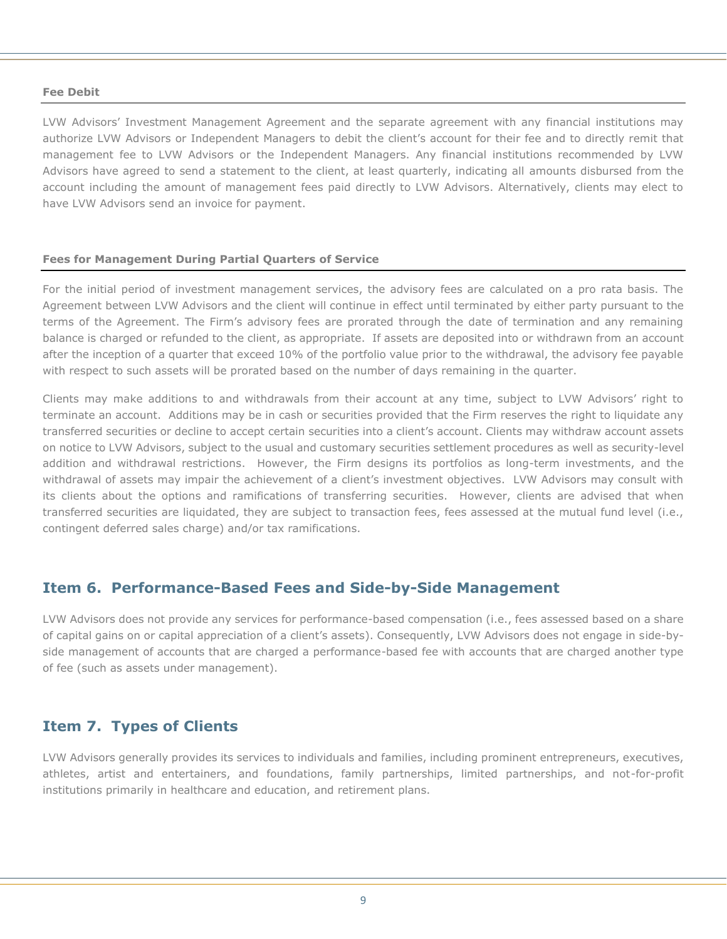#### **Fee Debit**

LVW Advisors' Investment Management Agreement and the separate agreement with any financial institutions may authorize LVW Advisors or Independent Managers to debit the client's account for their fee and to directly remit that management fee to LVW Advisors or the Independent Managers. Any financial institutions recommended by LVW Advisors have agreed to send a statement to the client, at least quarterly, indicating all amounts disbursed from the account including the amount of management fees paid directly to LVW Advisors. Alternatively, clients may elect to have LVW Advisors send an invoice for payment.

#### **Fees for Management During Partial Quarters of Service**

For the initial period of investment management services, the advisory fees are calculated on a pro rata basis. The Agreement between LVW Advisors and the client will continue in effect until terminated by either party pursuant to the terms of the Agreement. The Firm's advisory fees are prorated through the date of termination and any remaining balance is charged or refunded to the client, as appropriate. If assets are deposited into or withdrawn from an account after the inception of a quarter that exceed 10% of the portfolio value prior to the withdrawal, the advisory fee payable with respect to such assets will be prorated based on the number of days remaining in the quarter.

Clients may make additions to and withdrawals from their account at any time, subject to LVW Advisors' right to terminate an account. Additions may be in cash or securities provided that the Firm reserves the right to liquidate any transferred securities or decline to accept certain securities into a client's account. Clients may withdraw account assets on notice to LVW Advisors, subject to the usual and customary securities settlement procedures as well as security-level addition and withdrawal restrictions. However, the Firm designs its portfolios as long-term investments, and the withdrawal of assets may impair the achievement of a client's investment objectives. LVW Advisors may consult with its clients about the options and ramifications of transferring securities. However, clients are advised that when transferred securities are liquidated, they are subject to transaction fees, fees assessed at the mutual fund level (i.e., contingent deferred sales charge) and/or tax ramifications.

## **Item 6. Performance-Based Fees and Side-by-Side Management**

LVW Advisors does not provide any services for performance-based compensation (i.e., fees assessed based on a share of capital gains on or capital appreciation of a client's assets). Consequently, LVW Advisors does not engage in side-byside management of accounts that are charged a performance-based fee with accounts that are charged another type of fee (such as assets under management).

# **Item 7. Types of Clients**

LVW Advisors generally provides its services to individuals and families, including prominent entrepreneurs, executives, athletes, artist and entertainers, and foundations, family partnerships, limited partnerships, and not-for-profit institutions primarily in healthcare and education, and retirement plans.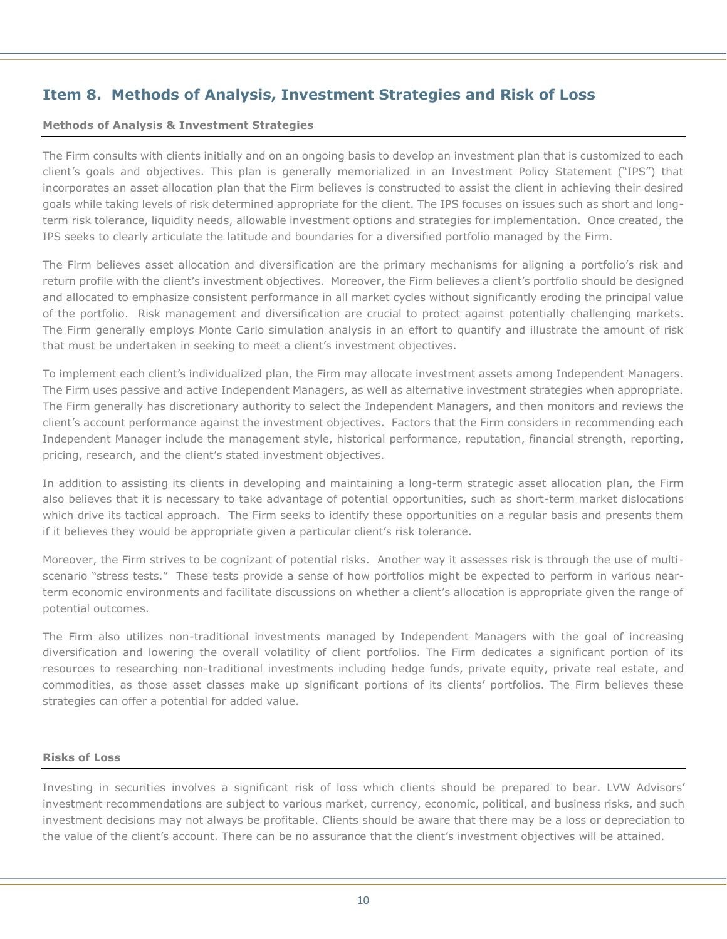# **Item 8. Methods of Analysis, Investment Strategies and Risk of Loss**

#### **Methods of Analysis & Investment Strategies**

The Firm consults with clients initially and on an ongoing basis to develop an investment plan that is customized to each client's goals and objectives. This plan is generally memorialized in an Investment Policy Statement ("IPS") that incorporates an asset allocation plan that the Firm believes is constructed to assist the client in achieving their desired goals while taking levels of risk determined appropriate for the client. The IPS focuses on issues such as short and longterm risk tolerance, liquidity needs, allowable investment options and strategies for implementation. Once created, the IPS seeks to clearly articulate the latitude and boundaries for a diversified portfolio managed by the Firm.

The Firm believes asset allocation and diversification are the primary mechanisms for aligning a portfolio's risk and return profile with the client's investment objectives. Moreover, the Firm believes a client's portfolio should be designed and allocated to emphasize consistent performance in all market cycles without significantly eroding the principal value of the portfolio. Risk management and diversification are crucial to protect against potentially challenging markets. The Firm generally employs Monte Carlo simulation analysis in an effort to quantify and illustrate the amount of risk that must be undertaken in seeking to meet a client's investment objectives.

To implement each client's individualized plan, the Firm may allocate investment assets among Independent Managers. The Firm uses passive and active Independent Managers, as well as alternative investment strategies when appropriate. The Firm generally has discretionary authority to select the Independent Managers, and then monitors and reviews the client's account performance against the investment objectives. Factors that the Firm considers in recommending each Independent Manager include the management style, historical performance, reputation, financial strength, reporting, pricing, research, and the client's stated investment objectives.

In addition to assisting its clients in developing and maintaining a long-term strategic asset allocation plan, the Firm also believes that it is necessary to take advantage of potential opportunities, such as short-term market dislocations which drive its tactical approach. The Firm seeks to identify these opportunities on a regular basis and presents them if it believes they would be appropriate given a particular client's risk tolerance.

Moreover, the Firm strives to be cognizant of potential risks. Another way it assesses risk is through the use of multiscenario "stress tests." These tests provide a sense of how portfolios might be expected to perform in various nearterm economic environments and facilitate discussions on whether a client's allocation is appropriate given the range of potential outcomes.

The Firm also utilizes non-traditional investments managed by Independent Managers with the goal of increasing diversification and lowering the overall volatility of client portfolios. The Firm dedicates a significant portion of its resources to researching non-traditional investments including hedge funds, private equity, private real estate, and commodities, as those asset classes make up significant portions of its clients' portfolios. The Firm believes these strategies can offer a potential for added value.

## **Risks of Loss**

Investing in securities involves a significant risk of loss which clients should be prepared to bear. LVW Advisors' investment recommendations are subject to various market, currency, economic, political, and business risks, and such investment decisions may not always be profitable. Clients should be aware that there may be a loss or depreciation to the value of the client's account. There can be no assurance that the client's investment objectives will be attained.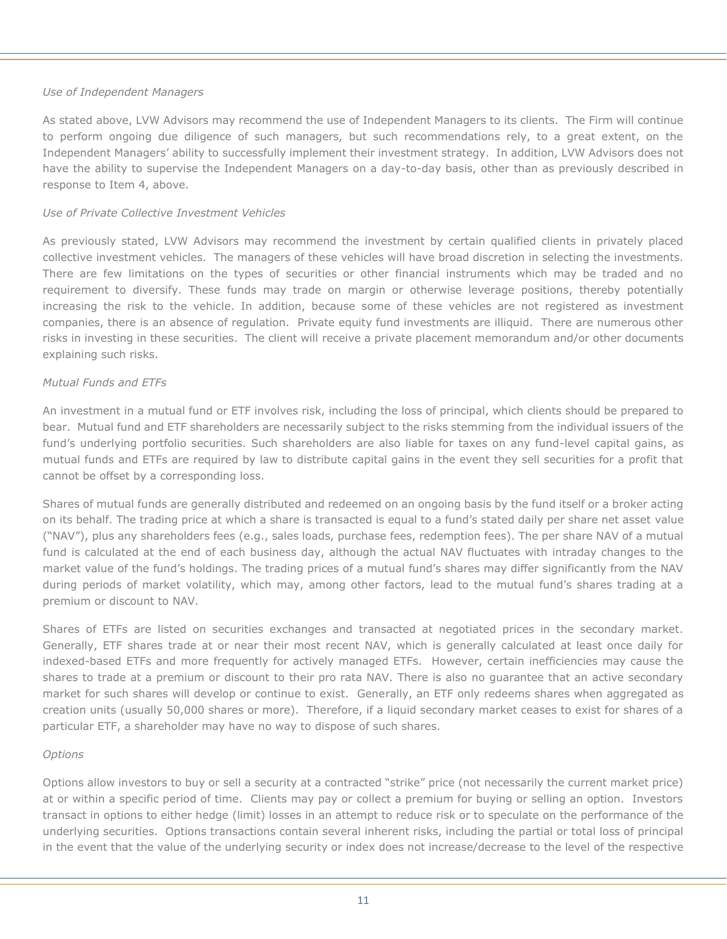#### *Use of Independent Managers*

As stated above, LVW Advisors may recommend the use of Independent Managers to its clients. The Firm will continue to perform ongoing due diligence of such managers, but such recommendations rely, to a great extent, on the Independent Managers' ability to successfully implement their investment strategy. In addition, LVW Advisors does not have the ability to supervise the Independent Managers on a day-to-day basis, other than as previously described in response to Item 4, above.

#### *Use of Private Collective Investment Vehicles*

As previously stated, LVW Advisors may recommend the investment by certain qualified clients in privately placed collective investment vehicles. The managers of these vehicles will have broad discretion in selecting the investments. There are few limitations on the types of securities or other financial instruments which may be traded and no requirement to diversify. These funds may trade on margin or otherwise leverage positions, thereby potentially increasing the risk to the vehicle. In addition, because some of these vehicles are not registered as investment companies, there is an absence of regulation. Private equity fund investments are illiquid. There are numerous other risks in investing in these securities. The client will receive a private placement memorandum and/or other documents explaining such risks.

#### *Mutual Funds and ETFs*

An investment in a mutual fund or ETF involves risk, including the loss of principal, which clients should be prepared to bear. Mutual fund and ETF shareholders are necessarily subject to the risks stemming from the individual issuers of the fund's underlying portfolio securities. Such shareholders are also liable for taxes on any fund-level capital gains, as mutual funds and ETFs are required by law to distribute capital gains in the event they sell securities for a profit that cannot be offset by a corresponding loss.

Shares of mutual funds are generally distributed and redeemed on an ongoing basis by the fund itself or a broker acting on its behalf. The trading price at which a share is transacted is equal to a fund's stated daily per share net asset value ("NAV"), plus any shareholders fees (e.g., sales loads, purchase fees, redemption fees). The per share NAV of a mutual fund is calculated at the end of each business day, although the actual NAV fluctuates with intraday changes to the market value of the fund's holdings. The trading prices of a mutual fund's shares may differ significantly from the NAV during periods of market volatility, which may, among other factors, lead to the mutual fund's shares trading at a premium or discount to NAV.

Shares of ETFs are listed on securities exchanges and transacted at negotiated prices in the secondary market. Generally, ETF shares trade at or near their most recent NAV, which is generally calculated at least once daily for indexed-based ETFs and more frequently for actively managed ETFs. However, certain inefficiencies may cause the shares to trade at a premium or discount to their pro rata NAV. There is also no guarantee that an active secondary market for such shares will develop or continue to exist. Generally, an ETF only redeems shares when aggregated as creation units (usually 50,000 shares or more). Therefore, if a liquid secondary market ceases to exist for shares of a particular ETF, a shareholder may have no way to dispose of such shares.

#### *Options*

Options allow investors to buy or sell a security at a contracted "strike" price (not necessarily the current market price) at or within a specific period of time. Clients may pay or collect a premium for buying or selling an option. Investors transact in options to either hedge (limit) losses in an attempt to reduce risk or to speculate on the performance of the underlying securities. Options transactions contain several inherent risks, including the partial or total loss of principal in the event that the value of the underlying security or index does not increase/decrease to the level of the respective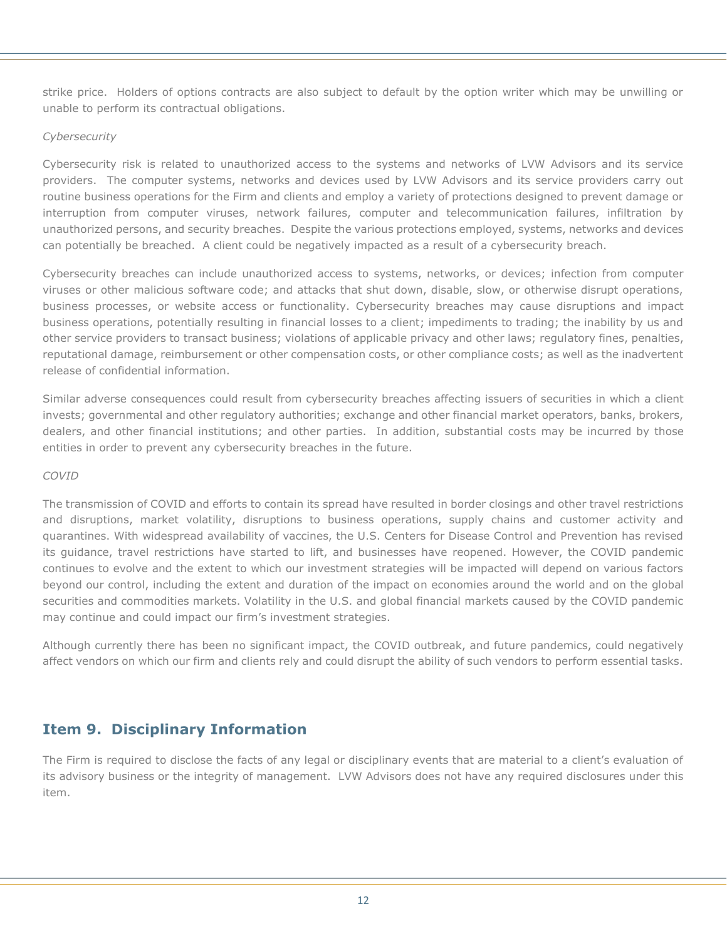strike price. Holders of options contracts are also subject to default by the option writer which may be unwilling or unable to perform its contractual obligations.

## *Cybersecurity*

Cybersecurity risk is related to unauthorized access to the systems and networks of LVW Advisors and its service providers. The computer systems, networks and devices used by LVW Advisors and its service providers carry out routine business operations for the Firm and clients and employ a variety of protections designed to prevent damage or interruption from computer viruses, network failures, computer and telecommunication failures, infiltration by unauthorized persons, and security breaches. Despite the various protections employed, systems, networks and devices can potentially be breached. A client could be negatively impacted as a result of a cybersecurity breach.

Cybersecurity breaches can include unauthorized access to systems, networks, or devices; infection from computer viruses or other malicious software code; and attacks that shut down, disable, slow, or otherwise disrupt operations, business processes, or website access or functionality. Cybersecurity breaches may cause disruptions and impact business operations, potentially resulting in financial losses to a client; impediments to trading; the inability by us and other service providers to transact business; violations of applicable privacy and other laws; regulatory fines, penalties, reputational damage, reimbursement or other compensation costs, or other compliance costs; as well as the inadvertent release of confidential information.

Similar adverse consequences could result from cybersecurity breaches affecting issuers of securities in which a client invests; governmental and other regulatory authorities; exchange and other financial market operators, banks, brokers, dealers, and other financial institutions; and other parties. In addition, substantial costs may be incurred by those entities in order to prevent any cybersecurity breaches in the future.

## *COVID*

The transmission of COVID and efforts to contain its spread have resulted in border closings and other travel restrictions and disruptions, market volatility, disruptions to business operations, supply chains and customer activity and quarantines. With widespread availability of vaccines, the U.S. Centers for Disease Control and Prevention has revised its guidance, travel restrictions have started to lift, and businesses have reopened. However, the COVID pandemic continues to evolve and the extent to which our investment strategies will be impacted will depend on various factors beyond our control, including the extent and duration of the impact on economies around the world and on the global securities and commodities markets. Volatility in the U.S. and global financial markets caused by the COVID pandemic may continue and could impact our firm's investment strategies.

Although currently there has been no significant impact, the COVID outbreak, and future pandemics, could negatively affect vendors on which our firm and clients rely and could disrupt the ability of such vendors to perform essential tasks.

# **Item 9. Disciplinary Information**

The Firm is required to disclose the facts of any legal or disciplinary events that are material to a client's evaluation of its advisory business or the integrity of management. LVW Advisors does not have any required disclosures under this item.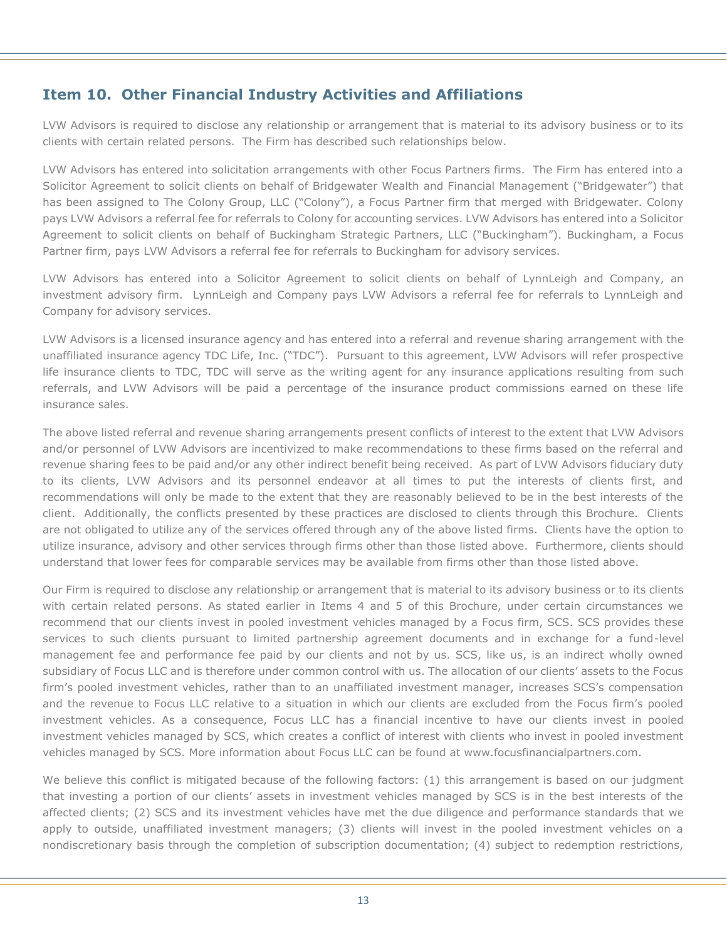# **Item 10. Other Financial Industry Activities and Affiliations**

LVW Advisors is required to disclose any relationship or arrangement that is material to its advisory business or to its clients with certain related persons. The Firm has described such relationships below.

LVW Advisors has entered into solicitation arrangements with other Focus Partners firms. The Firm has entered into a Solicitor Agreement to solicit clients on behalf of Bridgewater Wealth and Financial Management ("Bridgewater") that has been assigned to The Colony Group, LLC ("Colony"), a Focus Partner firm that merged with Bridgewater. Colony pays LVW Advisors a referral fee for referrals to Colony for accounting services. LVW Advisors has entered into a Solicitor Agreement to solicit clients on behalf of Buckingham Strategic Partners, LLC ("Buckingham"). Buckingham, a Focus Partner firm, pays LVW Advisors a referral fee for referrals to Buckingham for advisory services.

LVW Advisors has entered into a Solicitor Agreement to solicit clients on behalf of LynnLeigh and Company, an investment advisory firm. LynnLeigh and Company pays LVW Advisors a referral fee for referrals to LynnLeigh and Company for advisory services.

LVW Advisors is a licensed insurance agency and has entered into a referral and revenue sharing arrangement with the unaffiliated insurance agency TDC Life, Inc. ("TDC"). Pursuant to this agreement, LVW Advisors will refer prospective life insurance clients to TDC, TDC will serve as the writing agent for any insurance applications resulting from such referrals, and LVW Advisors will be paid a percentage of the insurance product commissions earned on these life insurance sales.

The above listed referral and revenue sharing arrangements present conflicts of interest to the extent that LVW Advisors and/or personnel of LVW Advisors are incentivized to make recommendations to these firms based on the referral and revenue sharing fees to be paid and/or any other indirect benefit being received. As part of LVW Advisors fiduciary duty to its clients, LVW Advisors and its personnel endeavor at all times to put the interests of clients first, and recommendations will only be made to the extent that they are reasonably believed to be in the best interests of the client. Additionally, the conflicts presented by these practices are disclosed to clients through this Brochure. Clients are not obligated to utilize any of the services offered through any of the above listed firms. Clients have the option to utilize insurance, advisory and other services through firms other than those listed above. Furthermore, clients should understand that lower fees for comparable services may be available from firms other than those listed above.

Our Firm is required to disclose any relationship or arrangement that is material to its advisory business or to its clients with certain related persons. As stated earlier in Items 4 and 5 of this Brochure, under certain circumstances we recommend that our clients invest in pooled investment vehicles managed by a Focus firm, SCS. SCS provides these services to such clients pursuant to limited partnership agreement documents and in exchange for a fund-level management fee and performance fee paid by our clients and not by us. SCS, like us, is an indirect wholly owned subsidiary of Focus LLC and is therefore under common control with us. The allocation of our clients' assets to the Focus firm's pooled investment vehicles, rather than to an unaffiliated investment manager, increases SCS's compensation and the revenue to Focus LLC relative to a situation in which our clients are excluded from the Focus firm's pooled investment vehicles. As a consequence, Focus LLC has a financial incentive to have our clients invest in pooled investment vehicles managed by SCS, which creates a conflict of interest with clients who invest in pooled investment vehicles managed by SCS. More information about Focus LLC can be found at www.focusfinancialpartners.com.

We believe this conflict is mitigated because of the following factors: (1) this arrangement is based on our judgment that investing a portion of our clients' assets in investment vehicles managed by SCS is in the best interests of the affected clients; (2) SCS and its investment vehicles have met the due diligence and performance standards that we apply to outside, unaffiliated investment managers; (3) clients will invest in the pooled investment vehicles on a nondiscretionary basis through the completion of subscription documentation; (4) subject to redemption restrictions,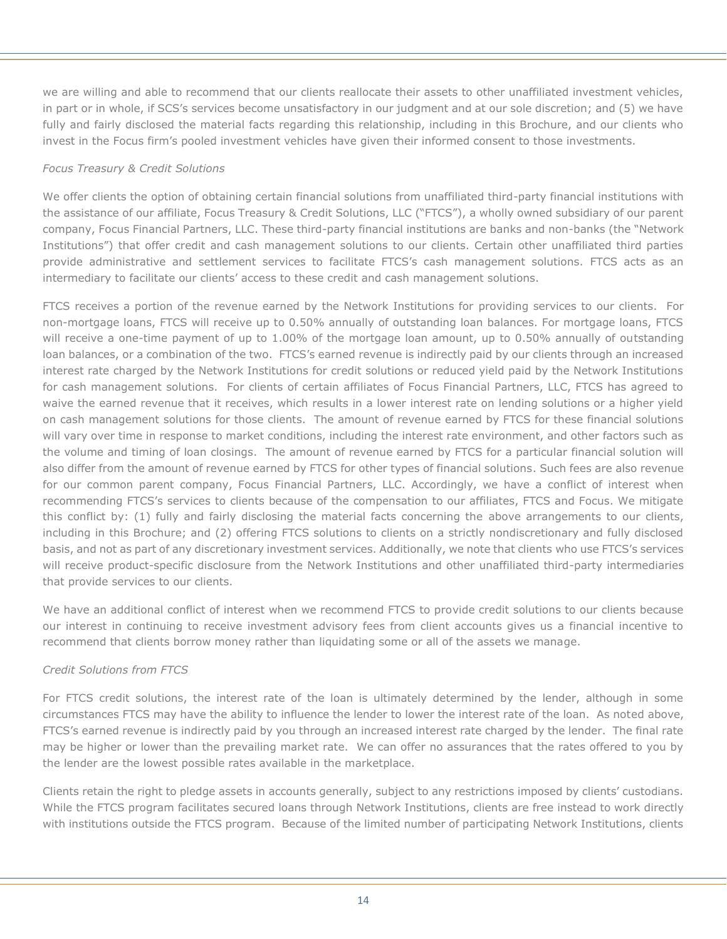we are willing and able to recommend that our clients reallocate their assets to other unaffiliated investment vehicles, in part or in whole, if SCS's services become unsatisfactory in our judgment and at our sole discretion; and (5) we have fully and fairly disclosed the material facts regarding this relationship, including in this Brochure, and our clients who invest in the Focus firm's pooled investment vehicles have given their informed consent to those investments.

## *Focus Treasury & Credit Solutions*

We offer clients the option of obtaining certain financial solutions from unaffiliated third-party financial institutions with the assistance of our affiliate, Focus Treasury & Credit Solutions, LLC ("FTCS"), a wholly owned subsidiary of our parent company, Focus Financial Partners, LLC. These third-party financial institutions are banks and non-banks (the "Network Institutions") that offer credit and cash management solutions to our clients. Certain other unaffiliated third parties provide administrative and settlement services to facilitate FTCS's cash management solutions. FTCS acts as an intermediary to facilitate our clients' access to these credit and cash management solutions.

FTCS receives a portion of the revenue earned by the Network Institutions for providing services to our clients. For non-mortgage loans, FTCS will receive up to 0.50% annually of outstanding loan balances. For mortgage loans, FTCS will receive a one-time payment of up to 1.00% of the mortgage loan amount, up to 0.50% annually of outstanding loan balances, or a combination of the two. FTCS's earned revenue is indirectly paid by our clients through an increased interest rate charged by the Network Institutions for credit solutions or reduced yield paid by the Network Institutions for cash management solutions. For clients of certain affiliates of Focus Financial Partners, LLC, FTCS has agreed to waive the earned revenue that it receives, which results in a lower interest rate on lending solutions or a higher yield on cash management solutions for those clients. The amount of revenue earned by FTCS for these financial solutions will vary over time in response to market conditions, including the interest rate environment, and other factors such as the volume and timing of loan closings. The amount of revenue earned by FTCS for a particular financial solution will also differ from the amount of revenue earned by FTCS for other types of financial solutions. Such fees are also revenue for our common parent company, Focus Financial Partners, LLC. Accordingly, we have a conflict of interest when recommending FTCS's services to clients because of the compensation to our affiliates, FTCS and Focus. We mitigate this conflict by: (1) fully and fairly disclosing the material facts concerning the above arrangements to our clients, including in this Brochure; and (2) offering FTCS solutions to clients on a strictly nondiscretionary and fully disclosed basis, and not as part of any discretionary investment services. Additionally, we note that clients who use FTCS's services will receive product-specific disclosure from the Network Institutions and other unaffiliated third-party intermediaries that provide services to our clients.

We have an additional conflict of interest when we recommend FTCS to provide credit solutions to our clients because our interest in continuing to receive investment advisory fees from client accounts gives us a financial incentive to recommend that clients borrow money rather than liquidating some or all of the assets we manage.

## *Credit Solutions from FTCS*

For FTCS credit solutions, the interest rate of the loan is ultimately determined by the lender, although in some circumstances FTCS may have the ability to influence the lender to lower the interest rate of the loan. As noted above, FTCS's earned revenue is indirectly paid by you through an increased interest rate charged by the lender. The final rate may be higher or lower than the prevailing market rate. We can offer no assurances that the rates offered to you by the lender are the lowest possible rates available in the marketplace.

Clients retain the right to pledge assets in accounts generally, subject to any restrictions imposed by clients' custodians. While the FTCS program facilitates secured loans through Network Institutions, clients are free instead to work directly with institutions outside the FTCS program. Because of the limited number of participating Network Institutions, clients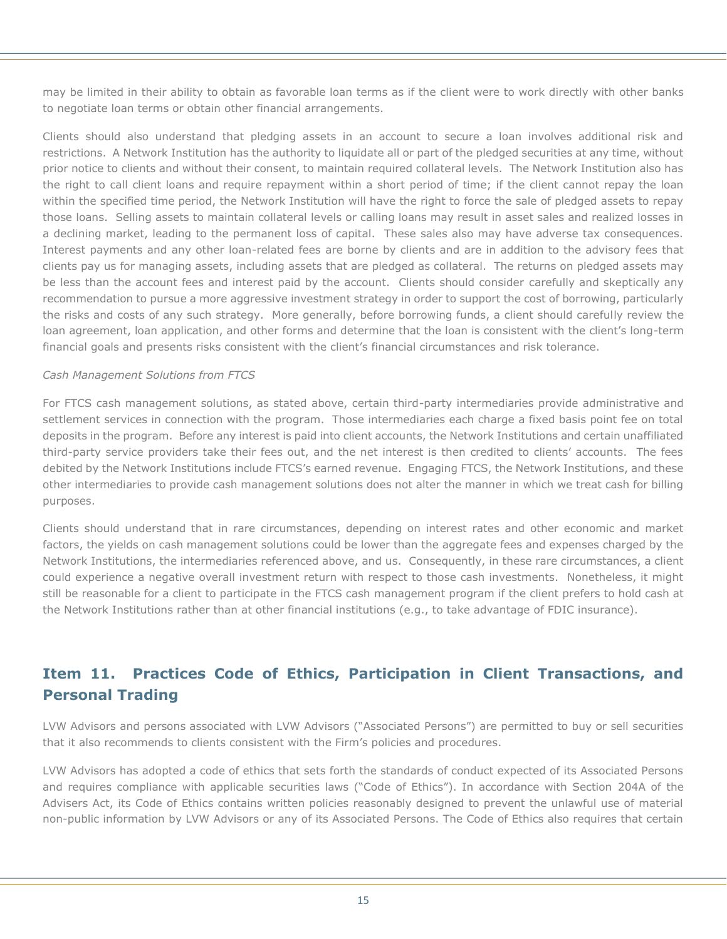may be limited in their ability to obtain as favorable loan terms as if the client were to work directly with other banks to negotiate loan terms or obtain other financial arrangements.

Clients should also understand that pledging assets in an account to secure a loan involves additional risk and restrictions. A Network Institution has the authority to liquidate all or part of the pledged securities at any time, without prior notice to clients and without their consent, to maintain required collateral levels. The Network Institution also has the right to call client loans and require repayment within a short period of time; if the client cannot repay the loan within the specified time period, the Network Institution will have the right to force the sale of pledged assets to repay those loans. Selling assets to maintain collateral levels or calling loans may result in asset sales and realized losses in a declining market, leading to the permanent loss of capital. These sales also may have adverse tax consequences. Interest payments and any other loan-related fees are borne by clients and are in addition to the advisory fees that clients pay us for managing assets, including assets that are pledged as collateral. The returns on pledged assets may be less than the account fees and interest paid by the account. Clients should consider carefully and skeptically any recommendation to pursue a more aggressive investment strategy in order to support the cost of borrowing, particularly the risks and costs of any such strategy. More generally, before borrowing funds, a client should carefully review the loan agreement, loan application, and other forms and determine that the loan is consistent with the client's long-term financial goals and presents risks consistent with the client's financial circumstances and risk tolerance.

## *Cash Management Solutions from FTCS*

For FTCS cash management solutions, as stated above, certain third-party intermediaries provide administrative and settlement services in connection with the program. Those intermediaries each charge a fixed basis point fee on total deposits in the program. Before any interest is paid into client accounts, the Network Institutions and certain unaffiliated third-party service providers take their fees out, and the net interest is then credited to clients' accounts. The fees debited by the Network Institutions include FTCS's earned revenue. Engaging FTCS, the Network Institutions, and these other intermediaries to provide cash management solutions does not alter the manner in which we treat cash for billing purposes.

Clients should understand that in rare circumstances, depending on interest rates and other economic and market factors, the yields on cash management solutions could be lower than the aggregate fees and expenses charged by the Network Institutions, the intermediaries referenced above, and us. Consequently, in these rare circumstances, a client could experience a negative overall investment return with respect to those cash investments. Nonetheless, it might still be reasonable for a client to participate in the FTCS cash management program if the client prefers to hold cash at the Network Institutions rather than at other financial institutions (e.g., to take advantage of FDIC insurance).

# **Item 11. Practices Code of Ethics, Participation in Client Transactions, and Personal Trading**

LVW Advisors and persons associated with LVW Advisors ("Associated Persons") are permitted to buy or sell securities that it also recommends to clients consistent with the Firm's policies and procedures.

LVW Advisors has adopted a code of ethics that sets forth the standards of conduct expected of its Associated Persons and requires compliance with applicable securities laws ("Code of Ethics"). In accordance with Section 204A of the Advisers Act, its Code of Ethics contains written policies reasonably designed to prevent the unlawful use of material non-public information by LVW Advisors or any of its Associated Persons. The Code of Ethics also requires that certain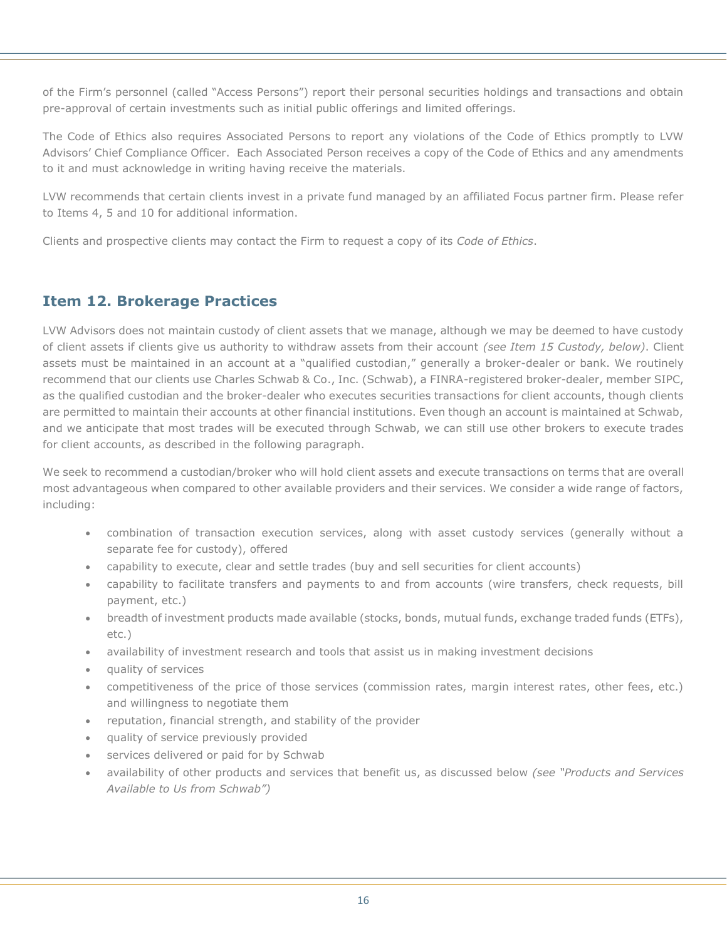of the Firm's personnel (called "Access Persons") report their personal securities holdings and transactions and obtain pre-approval of certain investments such as initial public offerings and limited offerings.

The Code of Ethics also requires Associated Persons to report any violations of the Code of Ethics promptly to LVW Advisors' Chief Compliance Officer. Each Associated Person receives a copy of the Code of Ethics and any amendments to it and must acknowledge in writing having receive the materials.

LVW recommends that certain clients invest in a private fund managed by an affiliated Focus partner firm. Please refer to Items 4, 5 and 10 for additional information.

Clients and prospective clients may contact the Firm to request a copy of its *Code of Ethics*.

# **Item 12. Brokerage Practices**

LVW Advisors does not maintain custody of client assets that we manage, although we may be deemed to have custody of client assets if clients give us authority to withdraw assets from their account *(see Item 15 Custody, below)*. Client assets must be maintained in an account at a "qualified custodian," generally a broker-dealer or bank. We routinely recommend that our clients use Charles Schwab & Co., Inc. (Schwab), a FINRA-registered broker-dealer, member SIPC, as the qualified custodian and the broker-dealer who executes securities transactions for client accounts, though clients are permitted to maintain their accounts at other financial institutions. Even though an account is maintained at Schwab, and we anticipate that most trades will be executed through Schwab, we can still use other brokers to execute trades for client accounts, as described in the following paragraph.

We seek to recommend a custodian/broker who will hold client assets and execute transactions on terms that are overall most advantageous when compared to other available providers and their services. We consider a wide range of factors, including:

- combination of transaction execution services, along with asset custody services (generally without a separate fee for custody), offered
- capability to execute, clear and settle trades (buy and sell securities for client accounts)
- capability to facilitate transfers and payments to and from accounts (wire transfers, check requests, bill payment, etc.)
- breadth of investment products made available (stocks, bonds, mutual funds, exchange traded funds (ETFs), etc.)
- availability of investment research and tools that assist us in making investment decisions
- quality of services
- competitiveness of the price of those services (commission rates, margin interest rates, other fees, etc.) and willingness to negotiate them
- reputation, financial strength, and stability of the provider
- quality of service previously provided
- services delivered or paid for by Schwab
- availability of other products and services that benefit us, as discussed below *(see "Products and Services Available to Us from Schwab")*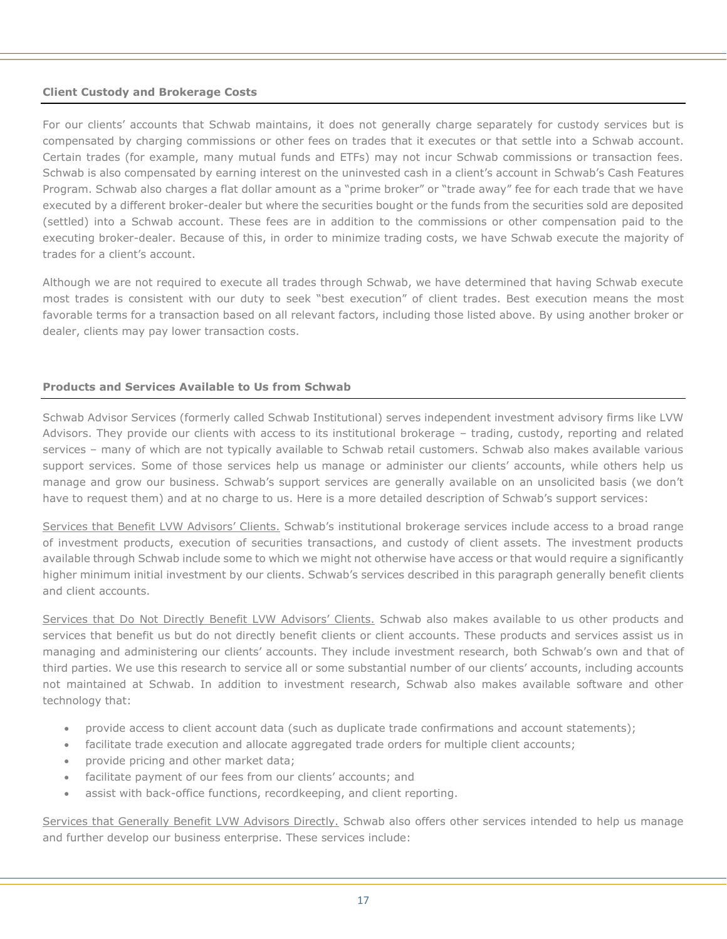#### **Client Custody and Brokerage Costs**

For our clients' accounts that Schwab maintains, it does not generally charge separately for custody services but is compensated by charging commissions or other fees on trades that it executes or that settle into a Schwab account. Certain trades (for example, many mutual funds and ETFs) may not incur Schwab commissions or transaction fees. Schwab is also compensated by earning interest on the uninvested cash in a client's account in Schwab's Cash Features Program. Schwab also charges a flat dollar amount as a "prime broker" or "trade away" fee for each trade that we have executed by a different broker-dealer but where the securities bought or the funds from the securities sold are deposited (settled) into a Schwab account. These fees are in addition to the commissions or other compensation paid to the executing broker-dealer. Because of this, in order to minimize trading costs, we have Schwab execute the majority of trades for a client's account.

Although we are not required to execute all trades through Schwab, we have determined that having Schwab execute most trades is consistent with our duty to seek "best execution" of client trades. Best execution means the most favorable terms for a transaction based on all relevant factors, including those listed above. By using another broker or dealer, clients may pay lower transaction costs.

## **Products and Services Available to Us from Schwab**

Schwab Advisor Services (formerly called Schwab Institutional) serves independent investment advisory firms like LVW Advisors. They provide our clients with access to its institutional brokerage – trading, custody, reporting and related services – many of which are not typically available to Schwab retail customers. Schwab also makes available various support services. Some of those services help us manage or administer our clients' accounts, while others help us manage and grow our business. Schwab's support services are generally available on an unsolicited basis (we don't have to request them) and at no charge to us. Here is a more detailed description of Schwab's support services:

Services that Benefit LVW Advisors' Clients. Schwab's institutional brokerage services include access to a broad range of investment products, execution of securities transactions, and custody of client assets. The investment products available through Schwab include some to which we might not otherwise have access or that would require a significantly higher minimum initial investment by our clients. Schwab's services described in this paragraph generally benefit clients and client accounts.

Services that Do Not Directly Benefit LVW Advisors' Clients. Schwab also makes available to us other products and services that benefit us but do not directly benefit clients or client accounts. These products and services assist us in managing and administering our clients' accounts. They include investment research, both Schwab's own and that of third parties. We use this research to service all or some substantial number of our clients' accounts, including accounts not maintained at Schwab. In addition to investment research, Schwab also makes available software and other technology that:

- provide access to client account data (such as duplicate trade confirmations and account statements);
- facilitate trade execution and allocate aggregated trade orders for multiple client accounts;
- provide pricing and other market data;
- facilitate payment of our fees from our clients' accounts; and
- assist with back-office functions, recordkeeping, and client reporting.

Services that Generally Benefit LVW Advisors Directly. Schwab also offers other services intended to help us manage and further develop our business enterprise. These services include: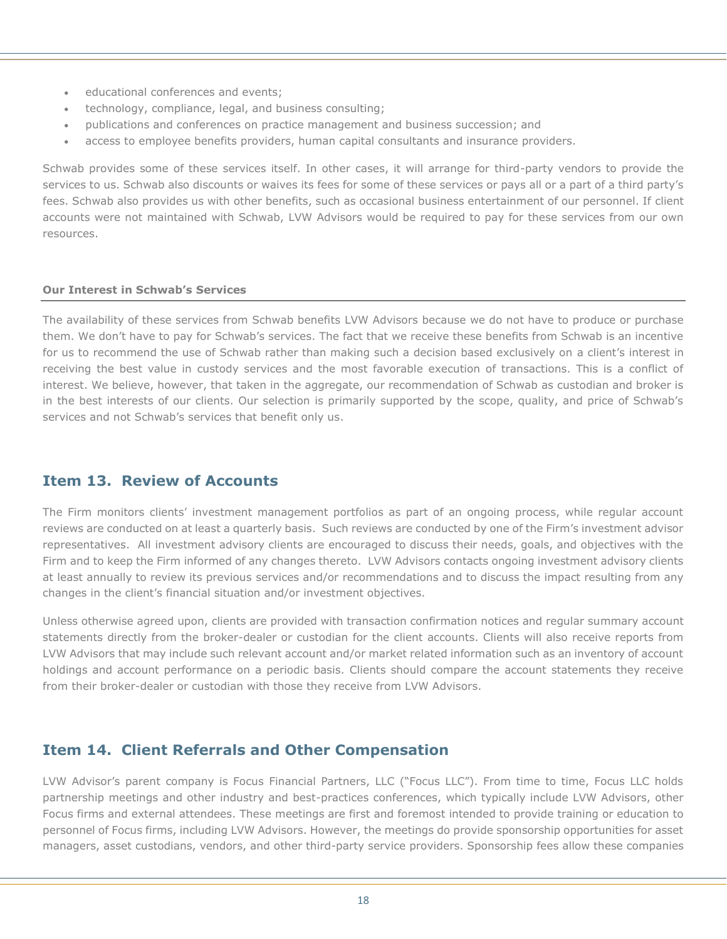- educational conferences and events;
- technology, compliance, legal, and business consulting;
- publications and conferences on practice management and business succession; and
- access to employee benefits providers, human capital consultants and insurance providers.

Schwab provides some of these services itself. In other cases, it will arrange for third-party vendors to provide the services to us. Schwab also discounts or waives its fees for some of these services or pays all or a part of a third party's fees. Schwab also provides us with other benefits, such as occasional business entertainment of our personnel. If client accounts were not maintained with Schwab, LVW Advisors would be required to pay for these services from our own resources.

#### **Our Interest in Schwab's Services**

The availability of these services from Schwab benefits LVW Advisors because we do not have to produce or purchase them. We don't have to pay for Schwab's services. The fact that we receive these benefits from Schwab is an incentive for us to recommend the use of Schwab rather than making such a decision based exclusively on a client's interest in receiving the best value in custody services and the most favorable execution of transactions. This is a conflict of interest. We believe, however, that taken in the aggregate, our recommendation of Schwab as custodian and broker is in the best interests of our clients. Our selection is primarily supported by the scope, quality, and price of Schwab's services and not Schwab's services that benefit only us.

# **Item 13. Review of Accounts**

The Firm monitors clients' investment management portfolios as part of an ongoing process, while regular account reviews are conducted on at least a quarterly basis. Such reviews are conducted by one of the Firm's investment advisor representatives. All investment advisory clients are encouraged to discuss their needs, goals, and objectives with the Firm and to keep the Firm informed of any changes thereto. LVW Advisors contacts ongoing investment advisory clients at least annually to review its previous services and/or recommendations and to discuss the impact resulting from any changes in the client's financial situation and/or investment objectives.

Unless otherwise agreed upon, clients are provided with transaction confirmation notices and regular summary account statements directly from the broker-dealer or custodian for the client accounts. Clients will also receive reports from LVW Advisors that may include such relevant account and/or market related information such as an inventory of account holdings and account performance on a periodic basis. Clients should compare the account statements they receive from their broker-dealer or custodian with those they receive from LVW Advisors.

# **Item 14. Client Referrals and Other Compensation**

LVW Advisor's parent company is Focus Financial Partners, LLC ("Focus LLC"). From time to time, Focus LLC holds partnership meetings and other industry and best-practices conferences, which typically include LVW Advisors, other Focus firms and external attendees. These meetings are first and foremost intended to provide training or education to personnel of Focus firms, including LVW Advisors. However, the meetings do provide sponsorship opportunities for asset managers, asset custodians, vendors, and other third-party service providers. Sponsorship fees allow these companies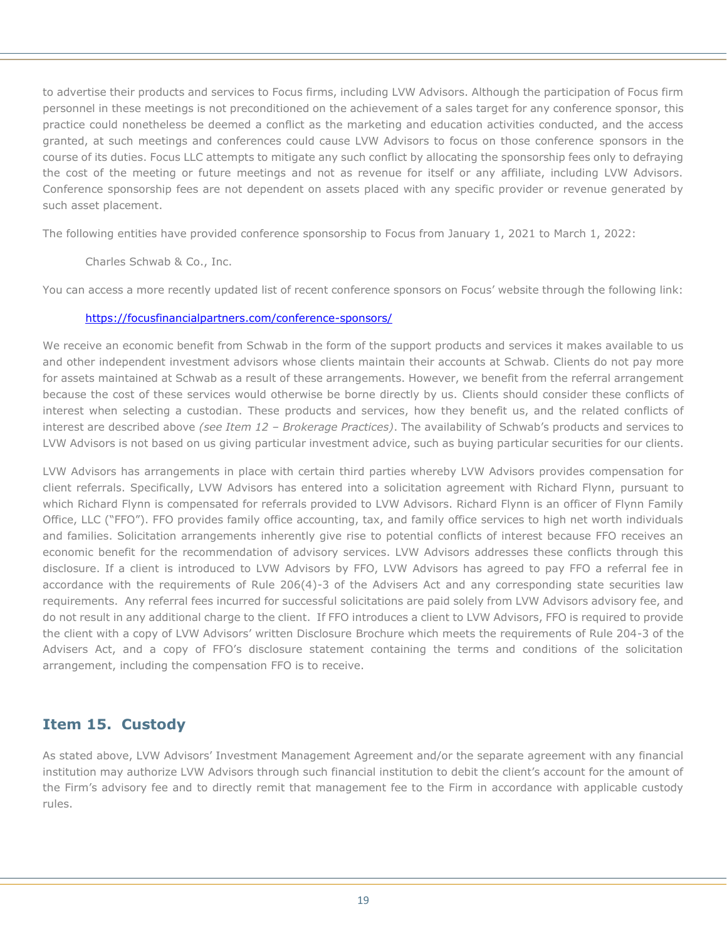to advertise their products and services to Focus firms, including LVW Advisors. Although the participation of Focus firm personnel in these meetings is not preconditioned on the achievement of a sales target for any conference sponsor, this practice could nonetheless be deemed a conflict as the marketing and education activities conducted, and the access granted, at such meetings and conferences could cause LVW Advisors to focus on those conference sponsors in the course of its duties. Focus LLC attempts to mitigate any such conflict by allocating the sponsorship fees only to defraying the cost of the meeting or future meetings and not as revenue for itself or any affiliate, including LVW Advisors. Conference sponsorship fees are not dependent on assets placed with any specific provider or revenue generated by such asset placement.

The following entities have provided conference sponsorship to Focus from January 1, 2021 to March 1, 2022:

## Charles Schwab & Co., Inc.

You can access a more recently updated list of recent conference sponsors on Focus' website through the following link:

#### <https://focusfinancialpartners.com/conference-sponsors/>

We receive an economic benefit from Schwab in the form of the support products and services it makes available to us and other independent investment advisors whose clients maintain their accounts at Schwab. Clients do not pay more for assets maintained at Schwab as a result of these arrangements. However, we benefit from the referral arrangement because the cost of these services would otherwise be borne directly by us. Clients should consider these conflicts of interest when selecting a custodian. These products and services, how they benefit us, and the related conflicts of interest are described above *(see Item 12 – Brokerage Practices)*. The availability of Schwab's products and services to LVW Advisors is not based on us giving particular investment advice, such as buying particular securities for our clients.

LVW Advisors has arrangements in place with certain third parties whereby LVW Advisors provides compensation for client referrals. Specifically, LVW Advisors has entered into a solicitation agreement with Richard Flynn, pursuant to which Richard Flynn is compensated for referrals provided to LVW Advisors. Richard Flynn is an officer of Flynn Family Office, LLC ("FFO"). FFO provides family office accounting, tax, and family office services to high net worth individuals and families. Solicitation arrangements inherently give rise to potential conflicts of interest because FFO receives an economic benefit for the recommendation of advisory services. LVW Advisors addresses these conflicts through this disclosure. If a client is introduced to LVW Advisors by FFO, LVW Advisors has agreed to pay FFO a referral fee in accordance with the requirements of Rule 206(4)-3 of the Advisers Act and any corresponding state securities law requirements. Any referral fees incurred for successful solicitations are paid solely from LVW Advisors advisory fee, and do not result in any additional charge to the client. If FFO introduces a client to LVW Advisors, FFO is required to provide the client with a copy of LVW Advisors' written Disclosure Brochure which meets the requirements of Rule 204-3 of the Advisers Act, and a copy of FFO's disclosure statement containing the terms and conditions of the solicitation arrangement, including the compensation FFO is to receive.

# **Item 15. Custody**

As stated above, LVW Advisors' Investment Management Agreement and/or the separate agreement with any financial institution may authorize LVW Advisors through such financial institution to debit the client's account for the amount of the Firm's advisory fee and to directly remit that management fee to the Firm in accordance with applicable custody rules.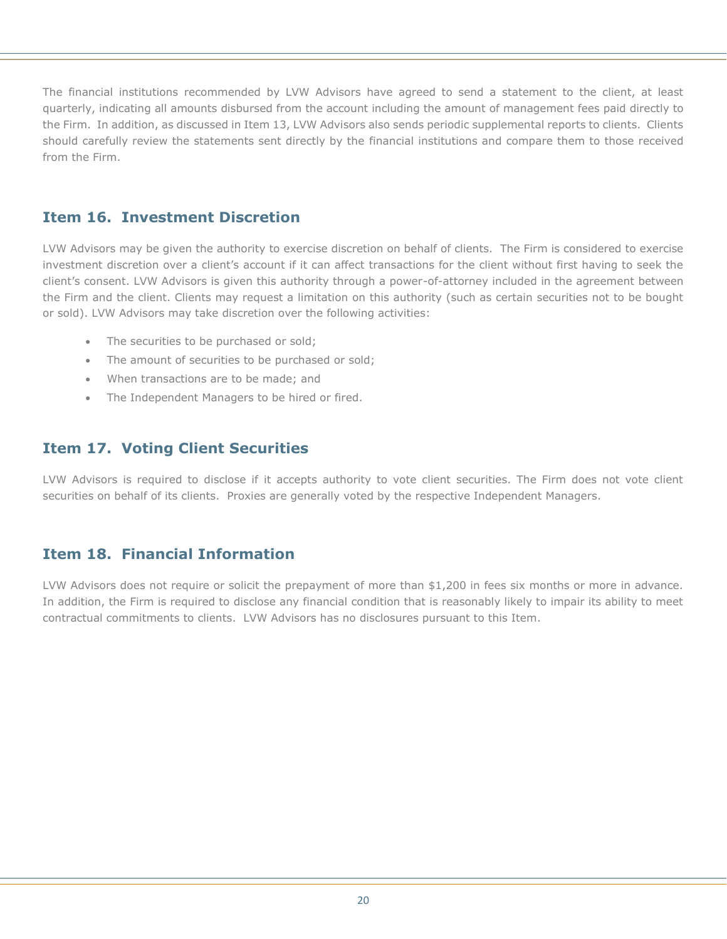The financial institutions recommended by LVW Advisors have agreed to send a statement to the client, at least quarterly, indicating all amounts disbursed from the account including the amount of management fees paid directly to the Firm. In addition, as discussed in Item 13, LVW Advisors also sends periodic supplemental reports to clients. Clients should carefully review the statements sent directly by the financial institutions and compare them to those received from the Firm.

# **Item 16. Investment Discretion**

LVW Advisors may be given the authority to exercise discretion on behalf of clients. The Firm is considered to exercise investment discretion over a client's account if it can affect transactions for the client without first having to seek the client's consent. LVW Advisors is given this authority through a power-of-attorney included in the agreement between the Firm and the client. Clients may request a limitation on this authority (such as certain securities not to be bought or sold). LVW Advisors may take discretion over the following activities:

- The securities to be purchased or sold;
- The amount of securities to be purchased or sold;
- When transactions are to be made; and
- The Independent Managers to be hired or fired.

# **Item 17. Voting Client Securities**

LVW Advisors is required to disclose if it accepts authority to vote client securities. The Firm does not vote client securities on behalf of its clients. Proxies are generally voted by the respective Independent Managers.

# **Item 18. Financial Information**

LVW Advisors does not require or solicit the prepayment of more than \$1,200 in fees six months or more in advance. In addition, the Firm is required to disclose any financial condition that is reasonably likely to impair its ability to meet contractual commitments to clients. LVW Advisors has no disclosures pursuant to this Item.